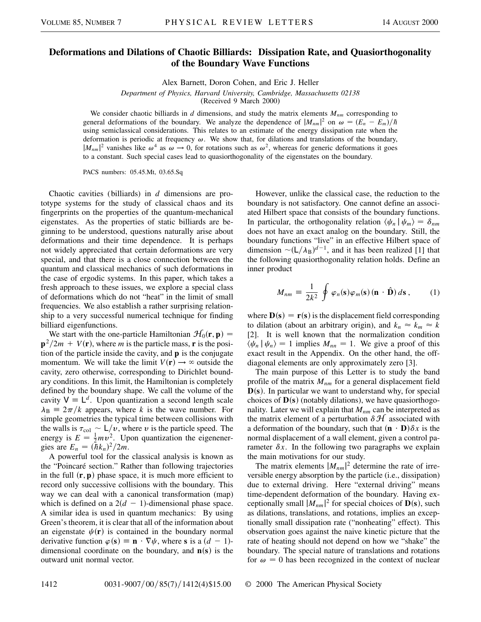## **Deformations and Dilations of Chaotic Billiards: Dissipation Rate, and Quasiorthogonality of the Boundary Wave Functions**

Alex Barnett, Doron Cohen, and Eric J. Heller

*Department of Physics, Harvard University, Cambridge, Massachusetts 02138*

(Received 9 March 2000)

We consider chaotic billiards in *d* dimensions, and study the matrix elements  $M_{nm}$  corresponding to general deformations of the boundary. We analyze the dependence of  $|M_{nm}|^2$  on  $\omega = (E_n - E_m)/\hbar$ using semiclassical considerations. This relates to an estimate of the energy dissipation rate when the deformation is periodic at frequency  $\omega$ . We show that, for dilations and translations of the boundary,  $|M_{nm}|^2$  vanishes like  $\omega^4$  as  $\omega \to 0$ , for rotations such as  $\omega^2$ , whereas for generic deformations it goes to a constant. Such special cases lead to quasiorthogonality of the eigenstates on the boundary.

PACS numbers: 05.45.Mt, 03.65.Sq

Chaotic cavities (billiards) in *d* dimensions are prototype systems for the study of classical chaos and its fingerprints on the properties of the quantum-mechanical eigenstates. As the properties of static billiards are beginning to be understood, questions naturally arise about deformations and their time dependence. It is perhaps not widely appreciated that certain deformations are very special, and that there is a close connection between the quantum and classical mechanics of such deformations in the case of ergodic systems. In this paper, which takes a fresh approach to these issues, we explore a special class of deformations which do not "heat" in the limit of small frequencies. We also establish a rather surprising relationship to a very successful numerical technique for finding billiard eigenfunctions.

We start with the one-particle Hamiltonian  $\mathcal{H}_0(\mathbf{r}, \mathbf{p}) =$  $p^2/2m + V(r)$ , where *m* is the particle mass, **r** is the position of the particle inside the cavity, and **p** is the conjugate momentum. We will take the limit  $V(\mathbf{r}) \rightarrow \infty$  outside the cavity, zero otherwise, corresponding to Dirichlet boundary conditions. In this limit, the Hamiltonian is completely defined by the boundary shape. We call the volume of the cavity  $V = L^d$ . Upon quantization a second length scale  $\lambda_B \equiv 2\pi/k$  appears, where *k* is the wave number. For simple geometries the typical time between collisions with the walls is  $\tau_{\text{col}} \sim L/v$ , where v is the particle speed. The energy is  $E = \frac{1}{2}mv^2$ . Upon quantization the eigenenergies are  $E_n = (\bar{h}k_n)^2/2m$ .

A powerful tool for the classical analysis is known as the "Poincaré section." Rather than following trajectories in the full  $(\mathbf{r}, \mathbf{p})$  phase space, it is much more efficient to record only successive collisions with the boundary. This way we can deal with a canonical transformation (map) which is defined on a  $2(d - 1)$ -dimensional phase space. A similar idea is used in quantum mechanics: By using Green's theorem, it is clear that all of the information about an eigenstate  $\psi(\mathbf{r})$  is contained in the boundary normal derivative function  $\varphi$  (**s**) = **n**  $\cdot \nabla \psi$ , where **s** is a  $(d - 1)$ dimensional coordinate on the boundary, and  $n(s)$  is the outward unit normal vector.

However, unlike the classical case, the reduction to the boundary is not satisfactory. One cannot define an associated Hilbert space that consists of the boundary functions. In particular, the orthogonality relation  $\langle \psi_n | \psi_m \rangle = \delta_{nm}$ does not have an exact analog on the boundary. Still, the boundary functions "live" in an effective Hilbert space of dimension  $\sim (L/\lambda_B)^{d-1}$ , and it has been realized [1] that the following quasiorthogonality relation holds. Define an inner product

$$
M_{nm} = \frac{1}{2k^2} \oint \varphi_n(\mathbf{s}) \varphi_m(\mathbf{s}) (\mathbf{n} \cdot \hat{\mathbf{D}}) d\mathbf{s}, \qquad (1)
$$

where  $\mathbf{D}(\mathbf{s}) = \mathbf{r}(\mathbf{s})$  is the displacement field corresponding to dilation (about an arbitrary origin), and  $k_n \approx k_m \approx k$ [2]. It is well known that the normalization condition  $\langle \psi_n | \psi_n \rangle = 1$  implies  $M_{nn} = 1$ . We give a proof of this exact result in the Appendix. On the other hand, the offdiagonal elements are only approximately zero [3].

The main purpose of this Letter is to study the band profile of the matrix  $M_{nm}$  for a general displacement field **D**(s). In particular we want to understand why, for special choices of  $\mathbf{D}(s)$  (notably dilations), we have quasiorthogonality. Later we will explain that  $M_{nm}$  can be interpreted as the matrix element of a perturbation  $\delta \mathcal{H}$  associated with a deformation of the boundary, such that  $(\mathbf{n} \cdot \mathbf{D})\delta x$  is the normal displacement of a wall element, given a control parameter  $\delta x$ . In the following two paragraphs we explain the main motivations for our study.

The matrix elements  $|M_{nm}|^2$  determine the rate of irreversible energy absorption by the particle (i.e., dissipation) due to external driving. Here "external driving" means time-dependent deformation of the boundary. Having exceptionally small  $|M_{nm}|^2$  for special choices of  $\mathbf{D}(\mathbf{s})$ , such as dilations, translations, and rotations, implies an exceptionally small dissipation rate ("nonheating" effect). This observation goes against the naive kinetic picture that the rate of heating should not depend on how we "shake" the boundary. The special nature of translations and rotations for  $\omega = 0$  has been recognized in the context of nuclear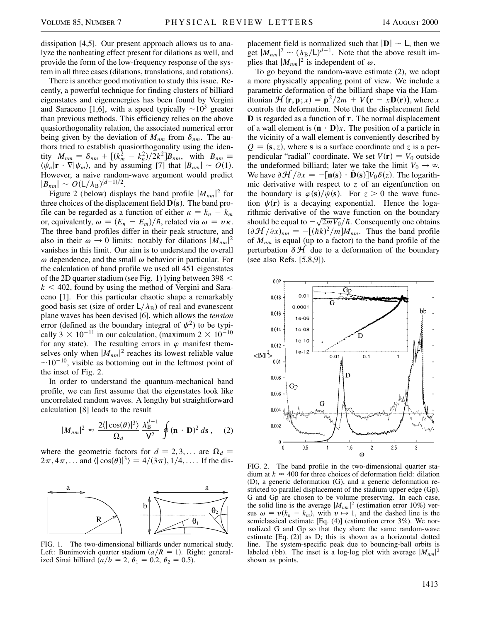dissipation [4,5]. Our present approach allows us to analyze the nonheating effect present for dilations as well, and provide the form of the low-frequency response of the system in all three cases (dilations, translations, and rotations).

There is another good motivation to study this issue. Recently, a powerful technique for finding clusters of billiard eigenstates and eigenenergies has been found by Vergini and Saraceno [1,6], with a speed typically  $\sim 10^3$  greater than previous methods. This efficiency relies on the above quasiorthogonality relation, the associated numerical error being given by the deviation of  $M_{nm}$  from  $\delta_{nm}$ . The authors tried to establish quasiorthogonality using the identity  $M_{nm} = \delta_{nm} + [(k_m^2 - k_n^2)/2k^2]B_{nm}$ , with  $B_{nm} \equiv$  $\langle \psi_n | \mathbf{r} \cdot \nabla | \psi_m \rangle$ , and by assuming [7] that  $|B_{nm}| \sim O(1)$ . However, a naive random-wave argument would predict  $|B_{nm}| \sim O(L/\lambda_B)^{(d-1)/2}.$ 

Figure 2 (below) displays the band profile  $|M_{nm}|^2$  for three choices of the displacement field  $\mathbf{D}(\mathbf{s})$ . The band profile can be regarded as a function of either  $\kappa = k_n - k_m$ or, equivalently,  $\omega = (E_n - E_m)/\hbar$ , related via  $\omega = v\kappa$ . The three band profiles differ in their peak structure, and also in their  $\omega \to 0$  limits: notably for dilations  $|M_{nm}|^2$ vanishes in this limit. Our aim is to understand the overall  $\omega$  dependence, and the small  $\omega$  behavior in particular. For the calculation of band profile we used all 451 eigenstates of the 2D quarter stadium (see Fig. 1) lying between 398  $\leq$  $k < 402$ , found by using the method of Vergini and Saraceno [1]. For this particular chaotic shape a remarkably good basis set (size of order  $L/\lambda_B$ ) of real and evanescent plane waves has been devised [6], which allows the *tension* error (defined as the boundary integral of  $\psi^2$ ) to be typically 3  $\times$  10<sup>-11</sup> in our calculation, (maximum 2  $\times$  10<sup>-10</sup> for any state). The resulting errors in  $\varphi$  manifest themselves only when  $|M_{nm}|^2$  reaches its lowest reliable value  $\sim$ 10<sup>-10</sup>, visible as bottoming out in the leftmost point of the inset of Fig. 2.

In order to understand the quantum-mechanical band profile, we can first assume that the eigenstates look like uncorrelated random waves. A lengthy but straightforward calculation [8] leads to the result

$$
|M_{nm}|^2 \approx \frac{2\langle|\cos(\theta)|^3\rangle}{\Omega_d} \frac{\lambda_{\rm B}^{d-1}}{\mathsf{V}^2} \oint (\mathbf{n} \cdot \mathbf{D})^2 d\mathbf{s} , \quad (2)
$$

where the geometric factors for  $d = 2, 3, \dots$  are  $\Omega_d =$  $2\pi, 4\pi, \dots$  and  $\langle |\cos(\theta)|^3 \rangle = 4/(3\pi), 1/4, \dots$  If the dis-



FIG. 1. The two-dimensional billiards under numerical study. Left: Bunimovich quarter stadium  $\left(\frac{a}{R} = 1\right)$ . Right: generalized Sinai billiard  $(a/b = 2, \theta_1 = 0.2, \theta_2 = 0.5)$ .

placement field is normalized such that  $|\mathbf{D}| \sim L$ , then we get  $|M_{nm}|^2 \sim (\lambda_B/L)^{d-1}$ . Note that the above result implies that  $|M_{nm}|^2$  is independent of  $\omega$ .

To go beyond the random-wave estimate (2), we adopt a more physically appealing point of view. We include a parametric deformation of the billiard shape via the Hamiltonian  $\mathcal{H}(\mathbf{r}, \mathbf{p}; x) = \mathbf{p}^2/2m + V(\mathbf{r} - x\mathbf{D}(\mathbf{r}))$ , where *x* controls the deformation. Note that the displacement field **D** is regarded as a function of **r**. The normal displacement of a wall element is  $(\mathbf{n} \cdot \mathbf{D})x$ . The position of a particle in the vicinity of a wall element is conveniently described by  $Q = (s, z)$ , where *s* is a surface coordinate and *z* is a perpendicular "radial" coordinate. We set  $V(\mathbf{r}) = V_0$  outside the undeformed billiard; later we take the limit  $V_0 \rightarrow \infty$ . We have  $\partial \mathcal{H}/\partial x = -[\mathbf{n}(\mathbf{s}) \cdot \hat{\mathbf{D}}(\mathbf{s})]V_0 \delta(z)$ . The logarithmic derivative with respect to *z* of an eigenfunction on the boundary is  $\varphi(s)/\psi(s)$ . For  $z > 0$  the wave function  $\psi(\mathbf{r})$  is a decaying exponential. Hence the logarithmic derivative of the wave function on the boundary rithmic derivative of the wave function on the boundary<br>should be equal to  $-\sqrt{2mV_0}/\hbar$ . Consequently one obtains  $(\partial \mathcal{H}/\partial x)_{nm} = -[(\hbar k)^2/m]M_{nm}$ . Thus the band profile of *Mnm* is equal (up to a factor) to the band profile of the perturbation  $\delta \mathcal{H}$  due to a deformation of the boundary (see also Refs. [5,8,9]).



FIG. 2. The band profile in the two-dimensional quarter stadium at  $k \approx 400$  for three choices of deformation field: dilation (D), a generic deformation (G), and a generic deformation restricted to parallel displacement of the stadium upper edge (Gp). G and Gp are chosen to be volume preserving. In each case, the solid line is the average  $|M_{nm}|^2$  (estimation error 10%) versus  $\omega = v(k_n - k_m)$ , with  $v \mapsto 1$ , and the dashed line is the semiclassical estimate [Eq. (4)] (estimation error 3%). We normalized G and Gp so that they share the same random-wave estimate [Eq. (2)] as D; this is shown as a horizontal dotted line. The system-specific peak due to bouncing-ball orbits is labeled (bb). The inset is a log-log plot with average  $|M_{nm}|^2$ shown as points.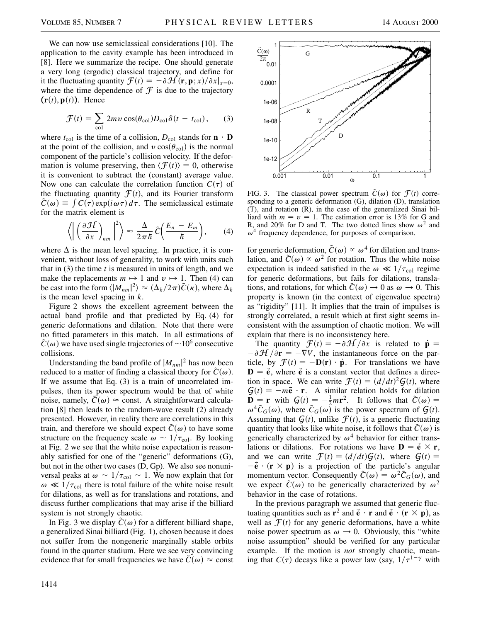We can now use semiclassical considerations [10]. The application to the cavity example has been introduced in [8]. Here we summarize the recipe. One should generate a very long (ergodic) classical trajectory, and define for it the fluctuating quantity  $\mathcal{F}(t) = -\partial \mathcal{H}(\mathbf{r}, \mathbf{p}; x) / \partial x|_{x=0}$ , where the time dependence of  $\mathcal F$  is due to the trajectory  $(r(t), p(t))$ . Hence

$$
\mathcal{F}(t) = \sum_{\text{col}} 2mv \cos(\theta_{\text{col}})D_{\text{col}}\delta(t - t_{\text{col}}), \qquad (3)
$$

where  $t_{\text{col}}$  is the time of a collision,  $D_{\text{col}}$  stands for  $\mathbf{n} \cdot \mathbf{D}$ at the point of the collision, and  $v \cos(\theta_{\text{col}})$  is the normal component of the particle's collision velocity. If the deformation is volume preserving, then  $\langle \mathcal{F}(t) \rangle = 0$ , otherwise it is convenient to subtract the (constant) average value. Now one can calculate the correlation function  $C(\tau)$  of the fluctuating quantity  $\mathcal{F}(t)$ , and its Fourier transform  $\tilde{C}(\omega) \equiv \int C(\tau) \exp(i\omega \tau) d\tau$ . The semiclassical estimate for the matrix element is

$$
\left\langle \left| \left( \frac{\partial \mathcal{H}}{\partial x} \right)_{nm} \right|^2 \right\rangle \approx \frac{\Delta}{2\pi\hbar} \,\tilde{C} \left( \frac{E_n - E_m}{\hbar} \right),\qquad(4)
$$

where  $\Delta$  is the mean level spacing. In practice, it is convenient, without loss of generality, to work with units such that in (3) the time *t* is measured in units of length, and we make the replacements  $m \mapsto 1$  and  $v \mapsto 1$ . Then (4) can be cast into the form  $\langle |M_{nm}|^2 \rangle \approx (\Delta_k/2\pi)\tilde{C}(\kappa)$ , where  $\Delta_k$ is the mean level spacing in *k*.

Figure 2 shows the excellent agreement between the actual band profile and that predicted by Eq. (4) for generic deformations and dilation. Note that there were no fitted parameters in this match. In all estimations of  $\tilde{C}(\omega)$  we have used single trajectories of  $\sim$  10<sup>6</sup> consecutive collisions.

Understanding the band profile of  $|M_{nm}|^2$  has now been reduced to a matter of finding a classical theory for  $\tilde{C}(\omega)$ . If we assume that Eq. (3) is a train of uncorrelated impulses, then its power spectrum would be that of white noise, namely,  $\tilde{C}(\omega) \approx$  const. A straightforward calculation [8] then leads to the random-wave result (2) already presented. However, in reality there are correlations in this train, and therefore we should expect  $\tilde{C}(\omega)$  to have some structure on the frequency scale  $\omega \sim 1/\tau_{\text{col}}$ . By looking at Fig. 2 we see that the white noise expectation is reasonably satisfied for one of the "generic" deformations (G), but not in the other two cases (D, Gp). We also see nonuniversal peaks at  $\omega \sim 1/\tau_{\text{col}} \sim 1$ . We now explain that for  $\omega \ll 1/\tau_{\text{col}}$  there is total failure of the white noise result for dilations, as well as for translations and rotations, and discuss further complications that may arise if the billiard system is not strongly chaotic.

In Fig. 3 we display  $\tilde{C}(\omega)$  for a different billiard shape, a generalized Sinai billiard (Fig. 1), chosen because it does not suffer from the nongeneric marginally stable orbits found in the quarter stadium. Here we see very convincing evidence that for small frequencies we have  $\tilde{C}(\omega) \approx$  const



FIG. 3. The classical power spectrum  $\tilde{C}(\omega)$  for  $\mathcal{F}(t)$  corresponding to a generic deformation (G), dilation (D), translation (T), and rotation (R), in the case of the generalized Sinai billiard with  $m = v = 1$ . The estimation error is 13% for G and R, and 20% for D and T. The two dotted lines show  $\omega^2$  and  $\omega^4$  frequency dependence, for purposes of comparison.

for generic deformation,  $\tilde{C}(\omega) \propto \omega^4$  for dilation and translation, and  $\tilde{C}(\omega) \propto \omega^2$  for rotation. Thus the white noise expectation is indeed satisfied in the  $\omega \ll 1/\tau_{\text{col}}$  regime for generic deformations, but fails for dilations, translations, and rotations, for which  $\tilde{C}(\omega) \rightarrow 0$  as  $\omega \rightarrow 0$ . This property is known (in the context of eigenvalue spectra) as "rigidity" [11]. It implies that the train of impulses is strongly correlated, a result which at first sight seems inconsistent with the assumption of chaotic motion. We will explain that there is no inconsistency here.

The quantity  $\mathcal{F}(t) = -\partial \mathcal{H}/\partial x$  is related to  $\dot{\mathbf{p}} =$  $-\partial \mathcal{H}/\partial \mathbf{r} = -\nabla V$ , the instantaneous force on the particle, by  $\mathcal{F}(t) = -\mathbf{D}(\mathbf{r}) \cdot \dot{\mathbf{p}}$ . For translations we have  $\mathbf{D} = \vec{\mathbf{e}}$ , where  $\vec{\mathbf{e}}$  is a constant vector that defines a direction in space. We can write  $\mathcal{F}(t) = \left(\frac{d}{dt}\right)^2 \mathcal{G}(t)$ , where  $G(t) = -m\vec{e} \cdot \vec{r}$ . A similar relation holds for dilation  $\mathbf{D} = \mathbf{r}$  with  $\mathbf{G}(t) = -\frac{1}{2}m\mathbf{r}^2$ . It follows that  $\tilde{C}(\omega) =$  $\omega^4 \tilde{C}_G(\omega)$ , where  $\tilde{C}_G(\omega)$  is the power spectrum of  $\mathcal{G}(t)$ . Assuming that  $G(t)$ , unlike  $F(t)$ , is a generic fluctuating quantity that looks like white noise, it follows that  $\tilde{C}(\omega)$  is generically characterized by  $\omega^4$  behavior for either translations or dilations. For rotations we have  $\mathbf{D} = \vec{\mathbf{e}} \times \mathbf{r}$ , and we can write  $\mathcal{F}(t) = \left(\frac{d}{dt}\right) \mathcal{G}(t)$ , where  $\mathcal{G}(t) =$  $-\vec{e} \cdot (\mathbf{r} \times \mathbf{p})$  is a projection of the particle's angular momentum vector. Consequently  $\tilde{C}(\omega) = \omega^2 \tilde{C}_G(\omega)$ , and we expect  $\tilde{C}(\omega)$  to be generically characterized by  $\omega^2$ behavior in the case of rotations.

In the previous paragraph we assumed that generic fluctuating quantities such as  $\mathbf{r}^2$  and  $\mathbf{\vec{e}} \cdot \mathbf{r}$  and  $\mathbf{\vec{e}} \cdot (\mathbf{r} \times \mathbf{p})$ , as well as  $\mathcal{F}(t)$  for any generic deformations, have a white noise power spectrum as  $\omega \rightarrow 0$ . Obviously, this "white noise assumption" should be verified for any particular example. If the motion is *not* strongly chaotic, meaning that  $C(\tau)$  decays like a power law (say,  $1/\tau^{1-\gamma}$  with